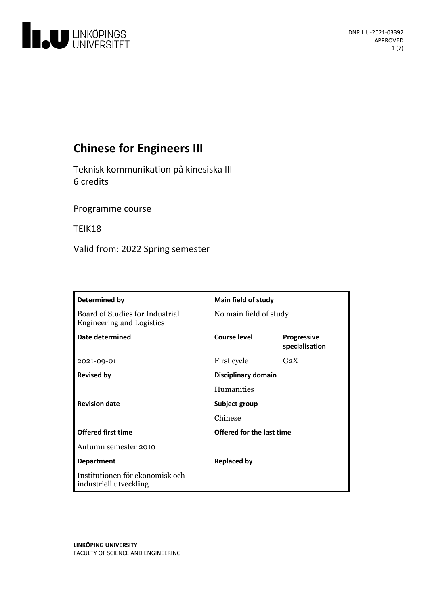

# **Chinese for Engineers III**

Teknisk kommunikation på kinesiska III 6 credits

Programme course

TEIK18

Valid from: 2022 Spring semester

| Determined by                                                       | Main field of study       |                                      |
|---------------------------------------------------------------------|---------------------------|--------------------------------------|
| Board of Studies for Industrial<br><b>Engineering and Logistics</b> | No main field of study    |                                      |
| Date determined                                                     | Course level              | <b>Progressive</b><br>specialisation |
| 2021-09-01                                                          | First cycle               | G <sub>2</sub> X                     |
| <b>Revised by</b>                                                   | Disciplinary domain       |                                      |
|                                                                     | Humanities                |                                      |
| <b>Revision date</b>                                                | Subject group             |                                      |
|                                                                     | Chinese                   |                                      |
| <b>Offered first time</b>                                           | Offered for the last time |                                      |
| Autumn semester 2010                                                |                           |                                      |
| <b>Department</b>                                                   | <b>Replaced by</b>        |                                      |
| Institutionen för ekonomisk och<br>industriell utveckling           |                           |                                      |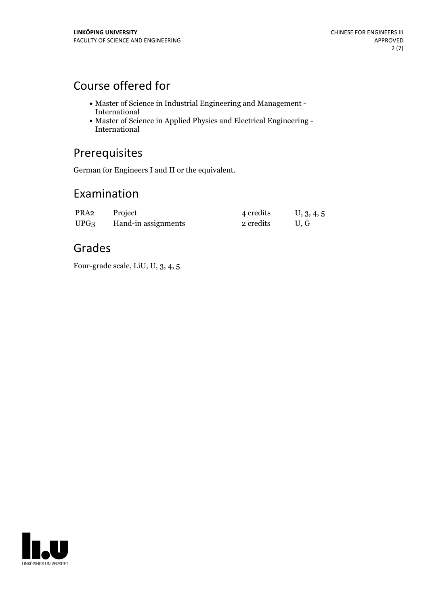# Course offered for

- $\bullet$  Master of Science in Industrial Engineering and Management International
- $\bullet$  Master of Science in Applied Physics and Electrical Engineering International

## Prerequisites

German for Engineers I and II or the equivalent.

## Examination

| PRA2             | Project             | 4 credits | U, 3, 4, 5 |
|------------------|---------------------|-----------|------------|
| UPG <sub>3</sub> | Hand-in assignments | 2 credits | U.G        |

## Grades

Four-grade scale, LiU, U, 3, 4, 5

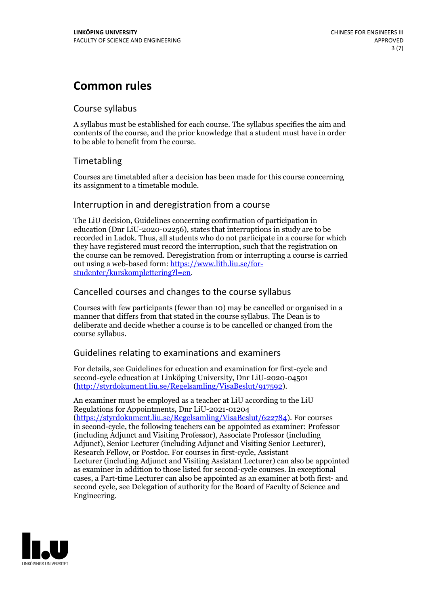# **Common rules**

### Course syllabus

A syllabus must be established for each course. The syllabus specifies the aim and contents of the course, and the prior knowledge that a student must have in order to be able to benefit from the course.

## Timetabling

Courses are timetabled after a decision has been made for this course concerning its assignment to a timetable module.

### Interruption in and deregistration from a course

The LiU decision, Guidelines concerning confirmation of participation in education (Dnr LiU-2020-02256), states that interruptions in study are to be recorded in Ladok. Thus, all students who do not participate in a course for which they have registered must record the interruption, such that the registration on the course can be removed. Deregistration from or interrupting a course is carried out using <sup>a</sup> web-based form: https://www.lith.liu.se/for- [studenter/kurskomplettering?l=en.](https://www.lith.liu.se/for-studenter/kurskomplettering?l=en)

## Cancelled courses and changes to the course syllabus

Courses with few participants (fewer than 10) may be cancelled or organised in a manner that differs from that stated in the course syllabus. The Dean is to deliberate and decide whether a course is to be cancelled or changed from the course syllabus.

## Guidelines relating to examinations and examiners

For details, see Guidelines for education and examination for first-cycle and second-cycle education at Linköping University, Dnr LiU-2020-04501 [\(http://styrdokument.liu.se/Regelsamling/VisaBeslut/917592\)](http://styrdokument.liu.se/Regelsamling/VisaBeslut/917592).

An examiner must be employed as a teacher at LiU according to the LiU Regulations for Appointments, Dnr LiU-2021-01204 [\(https://styrdokument.liu.se/Regelsamling/VisaBeslut/622784](https://styrdokument.liu.se/Regelsamling/VisaBeslut/622784)). For courses in second-cycle, the following teachers can be appointed as examiner: Professor (including Adjunct and Visiting Professor), Associate Professor (including Adjunct), Senior Lecturer (including Adjunct and Visiting Senior Lecturer), Research Fellow, or Postdoc. For courses in first-cycle, Assistant Lecturer (including Adjunct and Visiting Assistant Lecturer) can also be appointed as examiner in addition to those listed for second-cycle courses. In exceptional cases, a Part-time Lecturer can also be appointed as an examiner at both first- and second cycle, see Delegation of authority for the Board of Faculty of Science and Engineering.

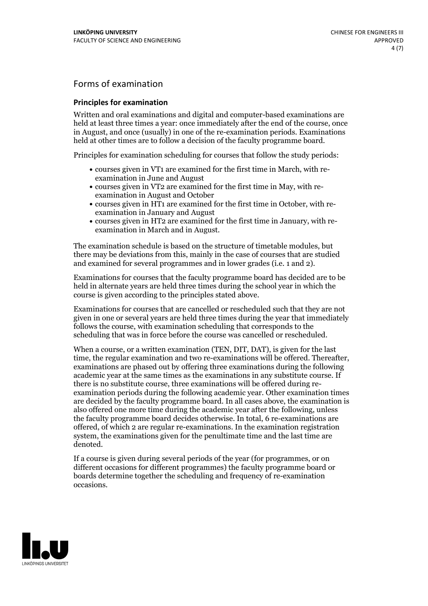## Forms of examination

#### **Principles for examination**

Written and oral examinations and digital and computer-based examinations are held at least three times a year: once immediately after the end of the course, once in August, and once (usually) in one of the re-examination periods. Examinations held at other times are to follow a decision of the faculty programme board.

Principles for examination scheduling for courses that follow the study periods:

- courses given in VT1 are examined for the first time in March, with re-examination in June and August
- courses given in VT2 are examined for the first time in May, with re-examination in August and October
- courses given in HT1 are examined for the first time in October, with re-examination in January and August
- courses given in HT2 are examined for the first time in January, with re-examination in March and in August.

The examination schedule is based on the structure of timetable modules, but there may be deviations from this, mainly in the case of courses that are studied and examined for several programmes and in lower grades (i.e. 1 and 2).

Examinations for courses that the faculty programme board has decided are to be held in alternate years are held three times during the school year in which the course is given according to the principles stated above.

Examinations for courses that are cancelled orrescheduled such that they are not given in one or several years are held three times during the year that immediately follows the course, with examination scheduling that corresponds to the scheduling that was in force before the course was cancelled or rescheduled.

When a course, or a written examination (TEN, DIT, DAT), is given for the last time, the regular examination and two re-examinations will be offered. Thereafter, examinations are phased out by offering three examinations during the following academic year at the same times as the examinations in any substitute course. If there is no substitute course, three examinations will be offered during re- examination periods during the following academic year. Other examination times are decided by the faculty programme board. In all cases above, the examination is also offered one more time during the academic year after the following, unless the faculty programme board decides otherwise. In total, 6 re-examinations are offered, of which 2 are regular re-examinations. In the examination registration system, the examinations given for the penultimate time and the last time are denoted.

If a course is given during several periods of the year (for programmes, or on different occasions for different programmes) the faculty programme board or boards determine together the scheduling and frequency of re-examination occasions.

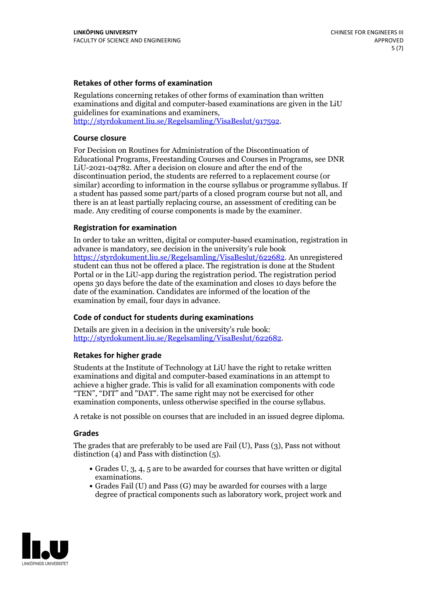### **Retakes of other forms of examination**

Regulations concerning retakes of other forms of examination than written examinations and digital and computer-based examinations are given in the LiU guidelines for examinations and examiners, [http://styrdokument.liu.se/Regelsamling/VisaBeslut/917592.](http://styrdokument.liu.se/Regelsamling/VisaBeslut/917592)

#### **Course closure**

For Decision on Routines for Administration of the Discontinuation of Educational Programs, Freestanding Courses and Courses in Programs, see DNR LiU-2021-04782. After a decision on closure and after the end of the discontinuation period, the students are referred to a replacement course (or similar) according to information in the course syllabus or programme syllabus. If a student has passed some part/parts of a closed program course but not all, and there is an at least partially replacing course, an assessment of crediting can be made. Any crediting of course components is made by the examiner.

#### **Registration for examination**

In order to take an written, digital or computer-based examination, registration in advance is mandatory, see decision in the university's rule book [https://styrdokument.liu.se/Regelsamling/VisaBeslut/622682.](https://styrdokument.liu.se/Regelsamling/VisaBeslut/622682) An unregistered student can thus not be offered a place. The registration is done at the Student Portal or in the LiU-app during the registration period. The registration period opens 30 days before the date of the examination and closes 10 days before the date of the examination. Candidates are informed of the location of the examination by email, four days in advance.

#### **Code of conduct for students during examinations**

Details are given in a decision in the university's rule book: <http://styrdokument.liu.se/Regelsamling/VisaBeslut/622682>.

#### **Retakes for higher grade**

Students at the Institute of Technology at LiU have the right to retake written examinations and digital and computer-based examinations in an attempt to achieve a higher grade. This is valid for all examination components with code "TEN", "DIT" and "DAT". The same right may not be exercised for other examination components, unless otherwise specified in the course syllabus.

A retake is not possible on courses that are included in an issued degree diploma.

#### **Grades**

The grades that are preferably to be used are Fail (U), Pass (3), Pass not without distinction  $(4)$  and Pass with distinction  $(5)$ .

- Grades U, 3, 4, 5 are to be awarded for courses that have written or digital examinations.<br>• Grades Fail (U) and Pass (G) may be awarded for courses with a large
- degree of practical components such as laboratory work, project work and

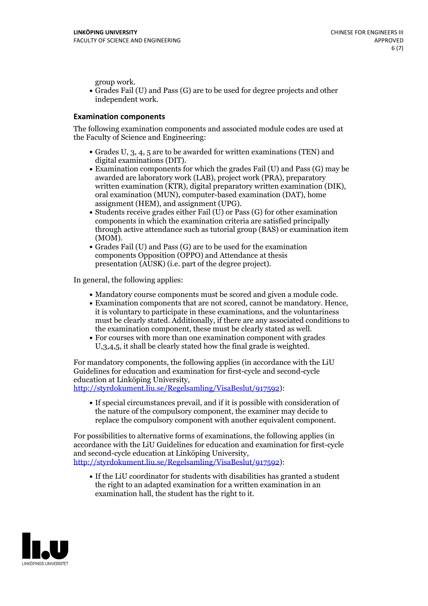group work.<br>• Grades Fail (U) and Pass (G) are to be used for degree projects and other independent work.

#### **Examination components**

The following examination components and associated module codes are used at the Faculty of Science and Engineering:

- Grades U, 3, 4, 5 are to be awarded for written examinations (TEN) and
- digital examinations (DIT).<br>• Examination components for which the grades Fail (U) and Pass (G) may be awarded are laboratory work (LAB), project work (PRA), preparatory written examination (KTR), digital preparatory written examination (DIK), oral examination (MUN), computer-based examination (DAT), home
- assignment (HEM), and assignment (UPG).<br>• Students receive grades either Fail (U) or Pass (G) for other examination components in which the examination criteria are satisfied principally through active attendance such as tutorial group (BAS) or examination item (MOM).<br>• Grades Fail (U) and Pass (G) are to be used for the examination
- components Opposition (OPPO) and Attendance at thesis presentation (AUSK) (i.e. part of the degree project).

In general, the following applies:

- 
- Mandatory course components must be scored and given <sup>a</sup> module code. Examination components that are not scored, cannot be mandatory. Hence, it is voluntary to participate in these examinations, and the voluntariness must be clearly stated. Additionally, if there are any associated conditions to
- the examination component, these must be clearly stated as well.<br>• For courses with more than one examination component with grades U,3,4,5, it shall be clearly stated how the final grade is weighted.

For mandatory components, the following applies (in accordance with the LiU Guidelines for education and examination for first-cycle and second-cycle education at Linköping University,<br>[http://styrdokument.liu.se/Regelsamling/VisaBeslut/917592\)](http://styrdokument.liu.se/Regelsamling/VisaBeslut/917592):

If special circumstances prevail, and if it is possible with consideration of the nature of the compulsory component, the examiner may decide to replace the compulsory component with another equivalent component.

For possibilities to alternative forms of examinations, the following applies (in accordance with the LiU Guidelines for education and examination for first-cycle [http://styrdokument.liu.se/Regelsamling/VisaBeslut/917592\)](http://styrdokument.liu.se/Regelsamling/VisaBeslut/917592):

If the LiU coordinator for students with disabilities has granted a student the right to an adapted examination for a written examination in an examination hall, the student has the right to it.